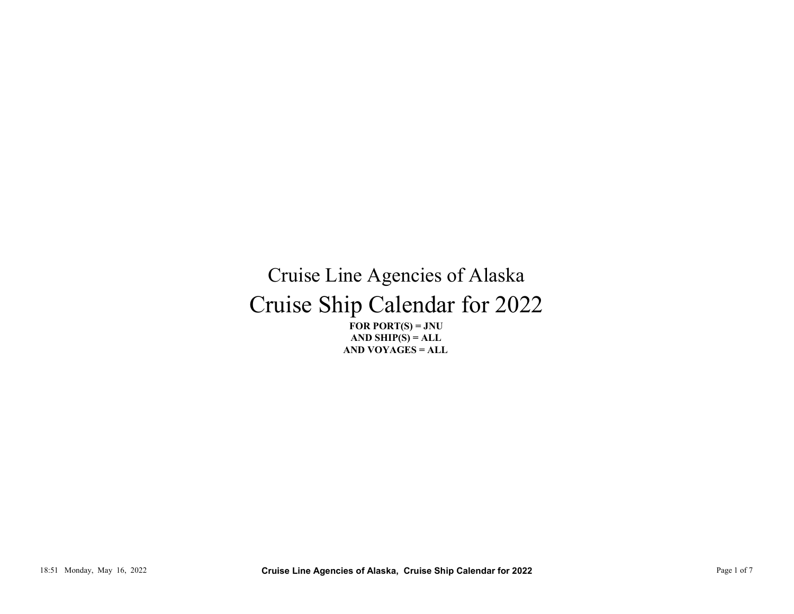## Cruise Ship Calendar for 2022 Cruise Line Agencies of Alaska THE TOR PORTS - JNU<br>
TOR PORTS - JNU<br>
TAN SHIP(S) = ALL<br>
AND YOVAGES = ALL<br>
AND YOVAGES = ALL<br>
AND YOVAGES = ALL<br>
Pope 1 of 7<br>
Pope 1 of 7<br>
Pope 1 of 7<br>
Pope 1 of 7<br>
Pope 1 of 7<br>
Pope 1 of 7<br>
Pope 1 of 7<br>
Pope 1 of 7<br>
Pop

FOR PORT $(S) = JNU$ AND VOYAGES = ALL AND SHIP $(S) = ALL$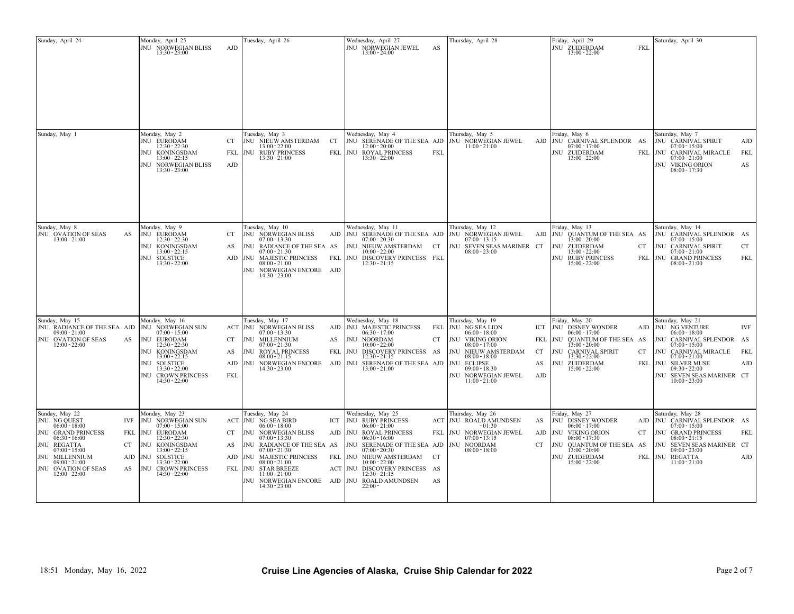| Sunday, April 24                                                                                                                                                                                                               | Monday, April 25<br>JNU NORWEGIAN BLISS<br>$13:30 - 23:00$                                                                                                                                                              | Tuesday, April 26<br>AJD                                                                                                                                                                                                                                                                                                           | Wednesday, April 27<br>JNU NORWEGIAN JEWEL<br>$13:00 - 24:00$                                                                                                                                                                                                                                  | Thursday, April 28<br>AS                                                                                                                                                                                                         | Friday, April 29<br>JNU ZUIDERDAM<br>$13:00 - 22:00$                                                                                                                                                                           | Saturday, April 30<br><b>FKI</b>                                                                                                                                                                                                                   |                          |
|--------------------------------------------------------------------------------------------------------------------------------------------------------------------------------------------------------------------------------|-------------------------------------------------------------------------------------------------------------------------------------------------------------------------------------------------------------------------|------------------------------------------------------------------------------------------------------------------------------------------------------------------------------------------------------------------------------------------------------------------------------------------------------------------------------------|------------------------------------------------------------------------------------------------------------------------------------------------------------------------------------------------------------------------------------------------------------------------------------------------|----------------------------------------------------------------------------------------------------------------------------------------------------------------------------------------------------------------------------------|--------------------------------------------------------------------------------------------------------------------------------------------------------------------------------------------------------------------------------|----------------------------------------------------------------------------------------------------------------------------------------------------------------------------------------------------------------------------------------------------|--------------------------|
|                                                                                                                                                                                                                                | Monday, May 2                                                                                                                                                                                                           | Tuesday, May 3                                                                                                                                                                                                                                                                                                                     | Wednesday, May 4                                                                                                                                                                                                                                                                               | Thursday, May 5                                                                                                                                                                                                                  | Friday, May 6                                                                                                                                                                                                                  | Saturday, May 7                                                                                                                                                                                                                                    |                          |
| Sunday, May 1                                                                                                                                                                                                                  | JNU EURODAM<br>$12:30 - 22:30$<br><b>JNU KONINGSDAM</b><br>$13:00 - 22:15$<br>JNU NORWEGIAN BLISS<br>$13:30 - 23:00$                                                                                                    | CT<br>JNU NIEUW AMSTERDAM<br>CT<br>$13:00 - 22:00$<br>FKL<br><b>JNU RUBY PRINCESS</b><br>$13:30 - 21:00$<br>AJD                                                                                                                                                                                                                    | <b>JNU SERENADE OF THE SEA AJD</b><br>12:00 - 20:00<br>FKL NU ROYAL PRINCESS<br>$13:30 - 22:00$                                                                                                                                                                                                | JNU NORWEGIAN JEWEL<br>$11:00 - 21:00$<br>FKL                                                                                                                                                                                    | AJD JNU CARNIVAL SPLENDOR AS<br>$07:00 - 17:00$<br>NU ZUIDERDAM<br>$13:00 - 22:00$                                                                                                                                             | JNU CARNIVAL SPIRIT<br>$07:00 - 15:00$<br>FKL NU CARNIVAL MIRACLE<br>$07:00 - 21:00$<br><b>JNU VIKING ORION</b><br>$08:00 - 17:30$                                                                                                                 | AJD<br>FKL<br>AS         |
| Sunday, May 8<br>JNU OVATION OF SEAS<br>AS<br>$13:00 - 21:00$                                                                                                                                                                  | Monday, May 9<br>JNU EURODAM<br>$12:30 - 22:30$<br><b>JNU KONINGSDAM</b><br>$13:00 - 22:15$<br><b>JNU SOLSTICE</b><br>$13:30 - 22:00$                                                                                   | Tuesday, May 10<br>CT<br>JNU NORWEGIAN BLISS<br>$07:00 - 13:30$<br>AS<br>JNU RADIANCE OF THE SEA AS<br>$07:00 - 21:30$<br>AJD JNU MAJESTIC PRINCESS FKL JNU DISCOVERY PRINCESS FKL<br>$08:00 - 21:00$<br>JNU NORWEGIAN ENCORE AJD<br>$14:30 - 23:00$                                                                               | Wednesday, May 11<br>$07:00 - 20:30$<br>JNU NIEUW AMSTERDAM CT<br>$10:00 - 22:00$<br>$12:30 - 21:15$                                                                                                                                                                                           | Thursday, May 12<br>AJD NU SERENADE OF THE SEA AJD NU NORWEGIAN JEWEL<br>$07:00 - 13:15$<br>JNU SEVEN SEAS MARINER CT<br>$08:00 - 23:00$                                                                                         | Friday, May 13<br>AJD JNU QUANTUM OF THE SEA AS<br>$13:00 - 20:00$<br>NU ZUIDERDAM<br>$13:00 - 22:00$<br><b>JNU RUBY PRINCESS</b><br>$15:00 - 22:00$                                                                           | Saturday, May 14<br>JNU CARNIVAL SPLENDOR AS<br>$07:00 - 15:00$<br>JNU CARNIVAL SPIRIT<br>CT.<br>$07:00 - 21:00$<br>FKL NU GRAND PRINCESS<br>$08:00 - 21:00$                                                                                       | <b>CT</b><br>FKL         |
| Sunday, May 15<br>JNU RADIANCE OF THE SEA AJD<br>$09:00 - 21:00$<br>JNU OVATION OF SEAS<br>AS<br>$12:00 - 22:00$                                                                                                               | Monday, May 16<br>JNU NORWEGIAN SUN<br>$07:00 - 15:00$<br>JNU EURODAM<br>$12:30 - 22:30$<br>JNU KONINGSDAM<br>$13:00 - 22:15$<br><b>JNU SOLSTICE</b><br>$13:30 - 22:00$<br><b>JNU CROWN PRINCESS</b><br>$14:30 - 22:00$ | Tuesday, May 17<br>ACT JNU NORWEGIAN BLISS<br>$07:00 - 13:30$<br>JNU MILLENNIUM<br>CT<br>AS<br>$07:00 - 21:30$<br>JNU ROYAL PRINCESS<br>FKL<br>AS<br>$08:00 - 21:15$<br>AJD<br>JNU NORWEGIAN ENCORE<br>$14:30 - 23:00$<br><b>FKL</b>                                                                                               | Wednesday, May 18<br>AJD NU MAJESTIC PRINCESS<br>$06:30 - 17:00$<br>JNU NOORDAM<br>10:00 - 22:00<br>INU DISCOVERY PRINCESS AS<br>12:30 - 21:15<br>AJD NU SERENADE OF THE SEA AJD<br>$13:00 - 21:00$                                                                                            | Thursday, May 19<br>JNU NG SEA LION<br>FKL<br>$06:00 - 18:00$<br>JNU VIKING ORION<br>CT<br>$08:00 - 17:00$<br>JNU NIEUW AMSTERDAM<br>$08:00 - 18:00$<br>JNU ECLIPSE<br>$09:00 - 18:30$<br>JNU NORWEGIAN JEWEL<br>$11:00 - 21:00$ | Friday, May 20<br>ICT JNU DISNEY WONDER<br>$06:00 - 17:00$<br>FKL<br>JNU QUANTUM OF THE SEA AS<br>13:00 - 20:00<br>CT<br><b>INU CARNIVAL SPIRIT</b><br>$13:30 - 22:00$<br>AS<br><b>INU ZUIDERDAM</b><br>$15:00 - 22:00$<br>AJD | Saturday, May 21<br>AJD NU NG VENTURE<br>$06:00 - 18:00$<br>JNU CARNIVAL SPLENDOR AS<br>$07:00 - 15:00$<br>CT<br>JNU CARNIVAL MIRACLE<br>$07:00 - 21:00$<br>FKL JNU SILVER MUSE<br>$09:30 - 22:00$<br>JNU SEVEN SEAS MARINER CT<br>$10:00 - 23:00$ | IVF<br><b>FKL</b><br>AJD |
| Sunday, May 22<br>JNU NG QUEST<br>IVF<br>$06:00 - 18:00$<br>JNU GRAND PRINCESS<br>$06:30 - 16:00$<br>JNU REGATTA<br>CT<br>$07:00 - 15:00$<br>JNU MILLENNIUM<br>$09:00 - 21:00$<br>JNU OVATION OF SEAS<br>AS<br>$12:00 - 22:00$ | Monday, May 23<br>JNU NORWEGIAN SUN<br>$07:00 - 15:00$<br>FKL JNU EURODAM<br>$12:30 - 22:30$<br>JNU KONINGSDAM<br>$13:00 - 22:15$<br>AJD JNU SOLSTICE<br>$13:30 - 22:00$<br>JNU CROWN PRINCESS<br>$14:30 - 22:00$       | Tuesday, May 24<br>ACT JNU NG SEA BIRD<br>ICT<br>$06:00 - 18:00$<br>CT<br>JNU NORWEGIAN BLISS<br>$07:00 - 13:30$<br>AS<br>JNU RADIANCE OF THE SEA AS<br>$07:00 - 21:30$<br>AJD NU MAJESTIC PRINCESS<br>$08:00 - 21:00$<br>FKL JNU STAR BREEZE<br>$11:00 - 21:00$<br>JNU NORWEGIAN ENCORE AJD JNU ROALD AMUNDSEN<br>$14:30 - 23:00$ | Wednesday, May 25<br><b>JNU RUBY PRINCESS</b><br>$06:00 - 21:00$<br>AJD NU ROYAL PRINCESS<br>$06:30 - 16:00$<br>JNU SERENADE OF THE SEA AJD   JNU NOORDAM<br>$07:00 - 20:30$<br>FKL JNU NIEUW AMSTERDAM CT<br>$10:00 - 22:00$<br>ACT JNU DISCOVERY PRINCESS AS<br>$12:30 - 21:15$<br>$22:00 -$ | Thursday, May 26<br>ACT JNU ROALD AMUNDSEN<br>$-01:30$<br>FKL<br>JNU NORWEGIAN JEWEL<br>$07:00 - 13:15$<br>$08:00 - 18:00$<br>AS                                                                                                 | Friday, May 27<br>JNU DISNEY WONDER<br>AS<br>$06:00 - 17:00$<br>AJD JNU VIKING ORION<br>$08:00 - 17:30$<br>CT<br>INU QUANTUM OF THE SEA AS<br>13:00 - 20:00<br>JNU ZUIDERDAM<br>$15:00 - 22:00$                                | Saturday, May 28<br>AJD NU CARNIVAL SPLENDOR AS<br>$07:00 - 15:00$<br>CT<br>JNU GRAND PRINCESS<br>$08:00 - 21:15$<br>JNU SEVEN SEAS MARINER CT<br>$09:00 - 23:00$<br>FKL NU REGATTA<br>$11:00 - 21:00$                                             | FKL<br>AJD               |
| 18:51 Monday, May 16, 2022                                                                                                                                                                                                     |                                                                                                                                                                                                                         |                                                                                                                                                                                                                                                                                                                                    |                                                                                                                                                                                                                                                                                                | Cruise Line Agencies of Alaska, Cruise Ship Calendar for 2022                                                                                                                                                                    |                                                                                                                                                                                                                                | Page 2 of 7                                                                                                                                                                                                                                        |                          |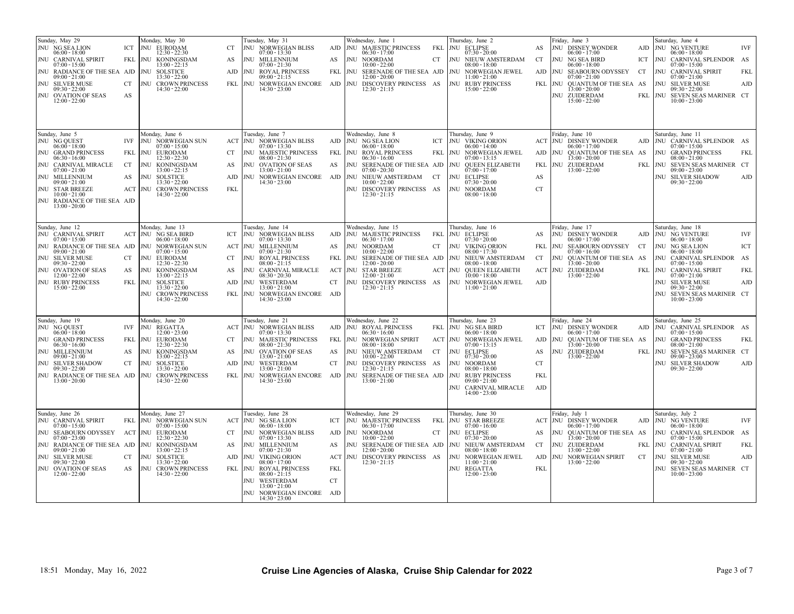| Sunday, May 29<br>JNU NG SEA LION<br>ICT<br>$06:00 - 18:00$<br>JNU CARNIVAL SPIRIT<br>$07:00 - 15:00$<br>JNU RADIANCE OF THE SEA AJD NU SOLSTICE<br>$09:00 - 21:00$<br><b>JNU SILVER MUSE</b><br>CT<br>$09:30 - 22:00$<br>JNU OVATION OF SEAS<br>AS<br>$12:00 - 22:00$                | Monday, May 30<br><b>JNU EURODAM</b><br>$12:30 - 22:30$<br>FKL JNU KONINGSDAM<br>$13:00 - 22:15$<br>$13:30 - 22:00$<br>JNU CROWN PRINCESS<br>$14:30 - 22:00$                                                                                                                        | Tuesday, May 31<br><b>JNU NORWEGIAN BLISS</b><br>CT.<br>$07:00 - 13:30$<br><b>JNU MILLENNIUM</b><br>AS<br>$07:00 - 21:30$<br>AJD JNU ROYAL PRINCESS<br>$09:00 - 21:15$<br>$14:30 - 23:00$                                                                                                                                          | Wednesday, June 1<br>AJD JNU MAJESTIC PRINCESS<br>$06:30 - 17:00$<br>JNU NOORDAM<br>AS<br>$10:00 - 22:00$<br>JNU SERENADE OF THE SEA AJD JNU NORWEGIAN JEWEL<br>FKL<br>12:00 - 20:00<br>FKL JNU NORWEGIAN ENCORE AJD JNU DISCOVERY PRINCESS AS<br>$12:30 - 21:15$                                     | Thursday, June 2<br>FKL NU ECLIPSE<br>$07:30 - 20:00$<br>JNU NIEUW AMSTERDAM<br>CT<br>$08:00 - 18:00$<br>$11:00 - 21:00$<br><b>JNU RUBY PRINCESS</b><br>$15:00 - 22:00$                                                                                                | Friday, June 3<br>JNU DISNEY WONDER<br>AS<br>$06:00 - 17:00$<br>JNU NG SEA BIRD<br>CT<br>$06:00 - 18:00$<br>AJD JNU SEABOURN ODYSSEY<br>CT<br>$07:00 - 21:00$<br>FKL JNU QUANTUM OF THE SEA AS<br>13:00 - 20:00<br><b>INU ZUIDERDAM</b><br>$15:00 - 22:00$ | Saturday, June 4<br>AJD JNU NG VENTURE<br><b>IVF</b><br>$06:00 - 18:00$<br>ICT JNU CARNIVAL SPLENDOR AS<br>$07:00 - 15:00$<br>JNU CARNIVAL SPIRIT<br>FKL<br>$07:00 - 21:00$<br><b>JNU SILVER MUSE</b><br>AJD<br>$09:30 - 22:00$<br>FKL JNU SEVEN SEAS MARINER CT<br>$10:00 - 23:00$                                                  |
|---------------------------------------------------------------------------------------------------------------------------------------------------------------------------------------------------------------------------------------------------------------------------------------|-------------------------------------------------------------------------------------------------------------------------------------------------------------------------------------------------------------------------------------------------------------------------------------|------------------------------------------------------------------------------------------------------------------------------------------------------------------------------------------------------------------------------------------------------------------------------------------------------------------------------------|-------------------------------------------------------------------------------------------------------------------------------------------------------------------------------------------------------------------------------------------------------------------------------------------------------|------------------------------------------------------------------------------------------------------------------------------------------------------------------------------------------------------------------------------------------------------------------------|------------------------------------------------------------------------------------------------------------------------------------------------------------------------------------------------------------------------------------------------------------|--------------------------------------------------------------------------------------------------------------------------------------------------------------------------------------------------------------------------------------------------------------------------------------------------------------------------------------|
| Sunday, June 5<br>JNU NG QUEST<br>IVF<br>$06:00 - 18:00$<br>JNU GRAND PRINCESS<br>$06:30 - 16:00$<br>JNU CARNIVAL MIRACLE<br>CT<br>$07:00 - 21:00$<br>JNU MILLENNIUM<br>AS<br>$09:00 - 21:00$<br>JNU STAR BREEZE<br>$10:00 - 21:00$<br>JNU RADIANCE OF THE SEA AJD<br>$13:00 - 20:00$ | Monday, June 6<br><b>JNU NORWEGIAN SUN</b><br>$07:00 - 15:00$<br>FKL NU EURODAM<br>$12:30 - 22:30$<br><b>JNU KONINGSDAM</b><br>$13:00 - 22:15$<br><b>JNU SOLSTICE</b><br>$13:30 - 22:00$<br>ACT NU CROWN PRINCESS<br>$14:30 - 22:00$                                                | Tuesday, June 7<br>ACT JNU NORWEGIAN BLISS<br>$07:00 - 13:30$<br><b>JNU MAJESTIC PRINCESS</b><br>CT<br>$08:00 - 21:30$<br>AS<br><b>JNU OVATION OF SEAS</b><br>$13:00 - 21:00$<br>AJD<br>$14:30 - 23:00$<br>FKL                                                                                                                     | Wednesday, June 8<br>AJD JNU NG SEA LION<br>$06:00 - 18:00$<br>FKL JNU ROYAL PRINCESS<br>$06:30 - 16:00$<br>INU SERENADE OF THE SEA AJD<br>AS<br>$07:00 - 20:30$<br>JNU NORWEGIAN ENCORE AJD JNU NIEUW AMSTERDAM CT<br>$10:00 - 22:00$<br>JNU DISCOVERY PRINCESS AS<br>$12:30 - 21:15$                | Thursday, June 9<br><b>JNU VIKING ORION</b><br>ICT<br>$06:00 - 14:00$<br>JNU NORWEGIAN JEWEL<br>FKL<br>$07:00 - 13:15$<br>JNU OUEEN ELIZABETH<br>$07:00 - 17:00$<br><b>JNU ECLIPSE</b><br>$07:30 - 20:00$<br>JNU NOORDAM<br>$08:00 - 18:00$                            | Friday, June 10<br>ACT JNU DISNEY WONDER<br>$06:00 - 17:00$<br>JNU OUANTUM OF THE SEA AS<br>AJD<br>13:00 - 20:00<br>FKL<br><b>INU ZUIDERDAM</b><br>$13:00 - 22:00$<br>AS<br><b>CT</b>                                                                      | Saturday, June 11<br>AJD   JNU CARNIVAL SPLENDOR AS<br>$07:00 - 15:00$<br><b>JNU GRAND PRINCESS</b><br>FKL<br>$08:00 - 21:00$<br>FKL JNU SEVEN SEAS MARINER CT<br>$09:00 - 23:00$<br>JNU SILVER SHADOW<br>AJD<br>$09:30 - 22:00$                                                                                                     |
| Sunday, June 12<br>JNU CARNIVAL SPIRIT<br>$07:00 - 15:00$<br>JNU RADIANCE OF THE SEA AJD<br>$09:00 - 21:00$<br><b>JNU SILVER MUSE</b><br>CT<br>$09:30 - 22:00$<br>JNU OVATION OF SEAS<br>AS<br>$12:00 - 22:00$<br>JNU RUBY PRINCESS<br>$15:00 - 22:00$                                | Monday, June 13<br><b>ACT JNU NG SEA BIRD</b><br>$06:00 - 18:00$<br><b>JNU NORWEGIAN SUN</b><br>$07:00 - 15:00$<br><b>JNU EURODAM</b><br>$12:30 - 22:30$<br><b>JNU KONINGSDAM</b><br>$13:00 - 22:15$<br>FKL NU SOLSTICE<br>$13:30 - 22:00$<br>JNU CROWN PRINCESS<br>$14:30 - 22:00$ | Tuesday, June 14<br>ICT JNU NORWEGIAN BLISS<br>$07:00 - 13:30$<br><b>ACT JNU MILLENNIUM</b><br>$07:00 - 21:30$<br><b>JNU ROYAL PRINCESS</b><br>CT<br>$08:00 - 21:15$<br>JNU CARNIVAL MIRACLE<br>AS<br>$08:30 - 20:30$<br>AJD JNU WESTERDAM<br>$13:00 - 21:00$<br>FKL JNU NORWEGIAN ENCORE AJD<br>$14:30 - 23:00$                   | Wednesday, June 15<br>AJD   JNU MAJESTIC PRINCESS<br>$06:30 - 17:00$<br>JNU NOORDAM<br>AS<br>$10:00 - 22:00$<br>FKL NU SERENADE OF THE SEA AJD NU NIEUW AMSTERDAM<br>$12:00 - 20:00$<br>ACT JNU STAR BREEZE<br>$12:00 - 21:00$<br>CT<br>JNU DISCOVERY PRINCESS AS<br>$12:30 - 21:15$                  | Thursday, June 16<br>FKL<br><b>JNU ECLIPSE</b><br>$07:30 - 20:00$<br>JNU VIKING ORION<br>CT<br>$08:00 - 17:30$<br>$08:00 - 18:00$<br>ACT NU QUEEN ELIZABETH<br>10:00 - 18:00<br>JNU NORWEGIAN JEWEL<br>$11:00 - 21:00$                                                 | Friday, June 17<br>JNU DISNEY WONDER<br>AS<br>$06:00 - 17:00$<br>JNU SEABOURN ODYSSEY<br>FKL<br>CT<br>$07:00 - 16:00$<br>CT<br>INU OUANTUM OF THE SEA AS<br>13:00 - 20:00<br>ACT JNU ZUIDERDAM<br>$13:00 - 22:00$<br>AJD                                   | Saturday, June 18<br>AJD JNU NG VENTURE<br><b>IVF</b><br>$06:00 - 18:00$<br><b>JNU NG SEA LION</b><br>ICT<br>$06:00 - 18:00$<br>JNU CARNIVAL SPLENDOR AS<br>$07:00 - 15:00$<br>FKL JNU CARNIVAL SPIRIT<br>FKL<br>$07:00 - 21:00$<br><b>JNU SILVER MUSE</b><br>AJD<br>$09:30 - 22:00$<br>JNU SEVEN SEAS MARINER CT<br>$10:00 - 23:00$ |
| Sunday, June 19<br>JNU NG QUEST<br>IVF<br>$06:00 - 18:00$<br>JNU GRAND PRINCESS<br>FKL<br>$06:30 - 16:00$<br>JNU MILLENNIUM<br>AS<br>$09:00 - 21:00$<br>JNU SILVER SHADOW<br>CT<br>$09:30 - 22:00$<br>JNU RADIANCE OF THE SEA AJD JNU CROWN PRINCESS<br>$13:00 - 20:00$               | Monday, June 20<br>JNU REGATTA<br>$12:00 - 23:00$<br><b>JNU EURODAM</b><br>$12:30 - 22:30$<br>JNU KONINGSDAM<br>$13:00 - 22:15$<br>JNU SOLSTICE<br>$13:30 - 22:00$<br>$14:30 - 22:00$                                                                                               | Tuesday, June 21<br><b>ACT JNU NORWEGIAN BLISS</b><br>$07:00 - 13:30$<br>JNU MAJESTIC PRINCESS<br>CT.<br>$08:00 - 21:30$<br>JNU OVATION OF SEAS<br>AS<br>$13:00 - 21:00$<br>AJD JNU WESTERDAM<br>$13:00 - 21:00$<br>$14:30 - 23:00$                                                                                                | Wednesday, June 22<br>AJD NU ROYAL PRINCESS<br>$06:30 - 16:00$<br>FKL JNU NORWEGIAN SPIRIT<br>$08:00 - 18:00$<br>JNU NIEUW AMSTERDAM CT<br>AS<br>$10:00 - 22:00$<br>CT<br>JNU DISCOVERY PRINCESS AS<br>$12:30 - 21:15$<br>FKL JNU NORWEGIAN ENCORE AJD JNU SERENADE OF THE SEA AJD<br>$13:00 - 21:00$ | Thursday, June 23<br>FKL JNU NG SEA BIRD<br>$06:00 - 18:00$<br>ACT NU NORWEGIAN JEWEL<br>$07:00 - 13:15$<br>JNU ECLIPSE<br>$07:30 - 20:00$<br>JNU NOORDAM<br>$08:00 - 18:00$<br><b>JNU RUBY PRINCESS</b><br>$09:00 - 21:00$<br>JNU CARNIVAL MIRACLE<br>$14:00 - 23:00$ | Friday, June 24<br><b>JNU DISNEY WONDER</b><br>ICT<br>$06:00 - 17:00$<br>JNU OUANTUM OF THE SEA AS<br>AJD<br>13:00 - 20:00<br>AS<br>JNU ZUIDERDAM<br>$13:00 - 22:00$<br><b>CT</b><br>FKL<br>AJD                                                            | Saturday, June 25<br>AJD NU CARNIVAL SPLENDOR AS<br>$07:00 - 15:00$<br><b>JNU GRAND PRINCESS</b><br>FKL<br>$08:00 - 21:00$<br>FKL NU SEVEN SEAS MARINER CT<br>$09:00 - 23:00$<br>JNU SILVER SHADOW<br>AJD<br>$09:30 - 22:00$                                                                                                         |
| Sunday, June 26<br>JNU CARNIVAL SPIRIT<br>FKL<br>$07:00 - 15:00$<br>JNU SEABOURN ODYSSEY<br>$07:00 - 23:00$<br>JNU RADIANCE OF THE SEA AJD   JNU KONINGSDAM<br>$09:00 - 21:00$<br><b>JNU SILVER MUSE</b><br>CT<br>$09:30 - 22:00$<br>JNU OVATION OF SEAS<br>AS<br>$12:00 - 22:00$     | Monday, June 27<br>JNU NORWEGIAN SUN<br>$07:00 - 15:00$<br>ACT NU EURODAM<br>$12:30 - 22:30$<br>$13:00 - 22:15$<br>JNU SOLSTICE<br>$13:30 - 22:00$<br><b>JNU CROWN PRINCESS</b><br>$14:30 - 22:00$                                                                                  | Tuesday, June 28<br>ACT JNU NG SEA LION<br>$06:00 - 18:00$<br>JNU NORWEGIAN BLISS<br>CT.<br>$07:00 - 13:30$<br><b>JNU MILLENNIUM</b><br>AS<br>$07:00 - 21:30$<br>AJD JNU VIKING ORION<br>08:00 - 17:00<br>FKL NU ROYAL PRINCESS<br>$08:00 - 21:15$<br>JNU WESTERDAM<br>$13:00 - 21:00$<br>JNU NORWEGIAN ENCORE AJD $14:30 - 23:00$ | Wednesday, June 29<br><b>JNU MAJESTIC PRINCESS</b><br>ICT<br>$06:30 - 17:00$<br>AJD JNU NOORDAM<br>$10:00 - 22:00$<br>AS<br>$12:00 - 20:00$<br>ACT NU DISCOVERY PRINCESS AS<br>$12:30 - 21:15$<br>FKL<br>CT                                                                                           | Thursday, June 30<br>FKL<br><b>JNU STAR BREEZE</b><br>$07:00 - 16:00$<br>JNU ECLIPSE<br>CT.<br>$07:30 - 20:00$<br>INU SERENADE OF THE SEA AJD NU NIEUW AMSTERDAM<br>$08:00 - 18:00$<br>JNU NORWEGIAN JEWEL<br>$11:00 - 21:00$<br>JNU REGATTA<br>$12:00 - 23:00$        | Friday, July 1<br><b>ACT JNU DISNEY WONDER</b><br>$06:00 - 17:00$<br>JNU OUANTUM OF THE SEA AS<br>AS<br>$13:00 - 20:00$<br>CT<br>JNU ZUIDERDAM<br>$13:00 - 22:00$<br>AJD JNU NORWEGIAN SPIRIT<br>CT<br>$13:00 - 22:00$<br>FKL                              | Saturday, July 2<br>AJD NU NG VENTURE<br><b>IVF</b><br>$06:00 - 18:00$<br>JNU CARNIVAL SPLENDOR AS<br>$07:00 - 15:00$<br>FKL JNU CARNIVAL SPIRIT<br>FKL<br>$07:00 - 21:00$<br><b>JNU SILVER MUSE</b><br>AJD<br>$09:30 - 22:00$<br>JNU SEVEN SEAS MARINER CT<br>$10:00 - 23:00$                                                       |
| 18:51 Monday, May 16, 2022                                                                                                                                                                                                                                                            |                                                                                                                                                                                                                                                                                     |                                                                                                                                                                                                                                                                                                                                    | Cruise Line Agencies of Alaska, Cruise Ship Calendar for 2022                                                                                                                                                                                                                                         |                                                                                                                                                                                                                                                                        |                                                                                                                                                                                                                                                            | Page 3 of 7                                                                                                                                                                                                                                                                                                                          |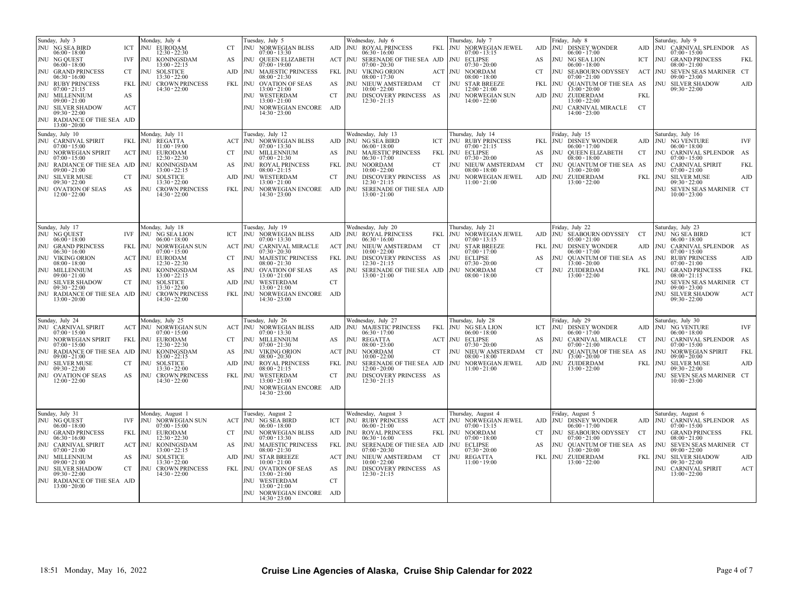| Sunday, July 3<br>JNU NG SEA BIRD<br>ICT<br>$06:00 - 18:00$<br>JNU NG QUEST<br>IVF<br>$06:00 - 18:00$<br>JNU GRAND PRINCESS<br>CT<br>$06:30 - 16:00$<br>JNU RUBY PRINCESS<br>FKL<br>$07:00 - 21:15$<br><b>JNU MILLENNIUM</b><br>AS<br>$09:00 - 21:00$<br>JNU SILVER SHADOW<br>ACT<br>$09:30 - 22:00$<br>JNU RADIANCE OF THE SEA AJD | Monday, July 4<br><b>JNU EURODAM</b><br>$12:30 - 22:30$<br>JNU KONINGSDAM<br>$13:00 - 22:15$<br>JNU SOLSTICE<br>$13:30 - 22:00$<br><b>JNU CROWN PRINCESS</b><br>$14:30 - 22:00$                                                   | Tuesday, July 5<br>JNU NORWEGIAN BLISS<br>CT.<br>$07:00 - 13:30$<br>JNU QUEEN ELIZABETH<br>AS<br>$07:00 - 19:00$<br>AJD   JNU MAJESTIC PRINCESS<br>$08:00 - 21:30$<br>FKL JNU OVATION OF SEAS<br>$13:00 - 21:00$<br>JNU WESTERDAM<br>$13:00 - 21:00$<br>JNU NORWEGIAN ENCORE AJD<br>$14:30 - 23:00$                                                                                      | Wednesday, July 6<br>AJD JNU ROYAL PRINCESS<br>$06:30 - 16:00$<br>ACT NU SERENADE OF THE SEA AJD NU ECLIPSE<br>$07:00 - 20:30$<br>FKL<br><b>JNU VIKING ORION</b><br>$08:00 - 17:30$<br>AS<br>JNU NIEUWAMSTERDAM CT<br>$10:00 - 22:00$<br>CT<br>JNU DISCOVERY PRINCESS AS<br>$12:30 - 21:15$           | Thursday, July 7<br>FKL NU NORWEGIAN JEWEL<br>$07:00 - 13:15$<br>$07:30 - 20:00$<br>ACT JNU NOORDAM<br>08:00 - 18:00<br><b>JNU STAR BREEZE</b><br>$12:00 - 21:00$<br>JNU NORWEGIAN SUN<br>$14:00 - 22:00$  | Friday, July 8<br>AJD JNU DISNEY WONDER<br>$06:00 - 17:00$<br>JNU NG SEA LION<br>AS<br>$06:00 - 18:00$<br><b>CT</b><br>JNU SEABOURN ODYSSEY<br>$07:00 - 21:00$<br>JNU QUANTUM OF THE SEA AS<br>FKL<br>$13:00 - 20:00$<br>AJD JNU ZUIDERDAM<br><b>FKI</b><br>$13:00 - 22:00$<br>JNU CARNIVAL MIRACLE<br>CT<br>$14:00 - 23:00$ | Saturday, July 9<br>AJD JNU CARNIVAL SPLENDOR AS<br>$07:00 - 15:00$<br>ICT   JNU GRAND PRINCESS<br>$08:00 - 21:00$<br>ACT NU SEVEN SEAS MARINER CT<br>$09:00 - 23:00$<br>JNU SILVER SHADOW<br>$09:30 - 22:00$                                                                          | FKL<br>AJD               |
|-------------------------------------------------------------------------------------------------------------------------------------------------------------------------------------------------------------------------------------------------------------------------------------------------------------------------------------|-----------------------------------------------------------------------------------------------------------------------------------------------------------------------------------------------------------------------------------|------------------------------------------------------------------------------------------------------------------------------------------------------------------------------------------------------------------------------------------------------------------------------------------------------------------------------------------------------------------------------------------|-------------------------------------------------------------------------------------------------------------------------------------------------------------------------------------------------------------------------------------------------------------------------------------------------------|------------------------------------------------------------------------------------------------------------------------------------------------------------------------------------------------------------|------------------------------------------------------------------------------------------------------------------------------------------------------------------------------------------------------------------------------------------------------------------------------------------------------------------------------|----------------------------------------------------------------------------------------------------------------------------------------------------------------------------------------------------------------------------------------------------------------------------------------|--------------------------|
| $13:00 - 20:00$<br>Sunday, July 10<br>JNU CARNIVAL SPIRIT<br>$07:00 - 15:00$<br>JNU NORWEGIAN SPIRIT<br>$07:00 - 15:00$<br>JNU RADIANCE OF THE SEA AJD<br>$09:00 - 21:00$<br>JNU SILVER MUSE<br>CT<br>$09:30 - 22:00$<br>JNU OVATION OF SEAS<br>AS<br>$12:00 - 22:00$                                                               | Monday, July 11<br>FKL JNU REGATTA<br>$11:00 - 19:00$<br><b>EURODAM</b><br>ACT JNU<br>$12:30 - 22:30$<br>JNU KONINGSDAM<br>$13:00 - 22:15$<br>JNU SOLSTICE<br>$13:30 - 22:00$<br>JNU CROWN PRINCESS<br>$14:30 - 22:00$            | Tuesday, July 12<br><b>ACT JNU NORWEGIAN BLISS</b><br>$07:00 - 13:30$<br>JNU MILLENNIUM<br>CT.<br>$07:00 - 21:30$<br>JNU ROYAL PRINCESS<br>AS<br>$08:00 - 21:15$<br>AJD JNU WESTERDAM<br>$13:00 - 21:00$<br>FKL JNU NORWEGIAN ENCORE<br>$14:30 - 23:00$                                                                                                                                  | Wednesday, July 13<br>AJD JNU NG SEA BIRD<br>$06:00 - 18:00$<br>JNU MAJESTIC PRINCESS<br>AS<br>$06:30 - 17:00$<br>JNU NOORDAM<br>FKL<br>$10:00 - 22:00$<br>CT<br>JNU DISCOVERY PRINCESS AS<br>$12:30 - 21:15$<br>AJD  <br>SERENADE OF THE SEA AJD<br>INH<br>$13:00 - 21:00$                           | Thursdav, July 14<br><b>JNU RUBY PRINCESS</b><br>ICT<br>$07:00 - 21:15$<br>JNU ECLIPSE<br>FKL<br>$07:30 - 20:00$<br>JNU NIEUW AMSTERDAM<br>CT<br>$08:00 - 18:00$<br>JNU NORWEGIAN JEWEL<br>$11:00 - 21:00$ | Friday, July 15<br>FKL JNU DISNEY WONDER<br>$06:00 - 17:00$<br>JNU QUEEN ELIZABETH<br>AS<br>CT<br>$08:00 - 18:00$<br>INU QUANTUM OF THE SEA AS<br>CT<br>13:00 - 20:00<br>JNU ZUIDERDAM<br>AJD<br>$13:00 - 22:00$                                                                                                             | Saturday, July 16<br>AJD   JNU NG VENTURE<br>$06:00 - 18:00$<br>JNU CARNIVAL SPLENDOR AS<br>$07:00 - 15:00$<br>JNU CARNIVAL SPIRIT<br>$07:00 - 21:00$<br>FKL NU SILVER MUSE<br>$09:30 - 22:00$<br>JNU SEVEN SEAS MARINER CT<br>$10:00 - 23:00$                                         | IVF<br>FKL<br>AJD        |
| Sunday, July 17<br>JNU NG QUEST<br>IVF<br>$06:00 - 18:00$<br>JNU GRAND PRINCESS<br>$06:30 - 16:00$<br>JNU VIKING ORION<br>$08:00 - 18:00$<br>JNU MILLENNIUM<br>AS<br>$09:00 - 21:00$<br>JNU SILVER SHADOW<br>CT<br>$09:30 - 22:00$<br>JNU RADIANCE OF THE SEA AJD JNU CROWN PRINCESS<br>$13:00 - 20:00$                             | Monday, July 18<br>JNU NG SEA LION<br>$06:00 - 18:00$<br>FKL NU NORWEGIAN SUN<br>$07:00 - 15:00$<br>ACT JNU EURODAM<br>$12:30 - 22:30$<br>JNU KONINGSDAM<br>$13:00 - 22:15$<br>JNU SOLSTICE<br>$13:30 - 22:00$<br>$14:30 - 22:00$ | Tuesday, July 19<br>ICT JNU NORWEGIAN BLISS<br>$07:00 - 13:30$<br>ACT JNU CARNIVAL MIRACLE<br>$07:30 - 20:30$<br>CT.<br>JNU MAJESTIC PRINCESS<br>$08:00 - 21:30$<br>JNU OVATION OF SEAS<br>AS<br>$13:00 - 21:00$<br>AJD JNU WESTERDAM<br>$13:00 - 21:00$<br>FKL JNU NORWEGIAN ENCORE AJD<br>$14:30 - 23:00$                                                                              | Wednesday, July 20<br>AJD JNU ROYAL PRINCESS<br>$06:30 - 16:00$<br>ACT JNU NIEUW AMSTERDAM CT<br>$10:00 - 22:00$<br>FKL<br>INU DISCOVERY PRINCESS AS<br>$12:30 - 21:15$<br>AS<br>NU SERENADE OF THE SEA AJD NU NOORDAM<br>$13:00 - 21:00$<br>CT                                                       | Thursday, July 21<br>JNU NORWEGIAN JEWEL<br>FKL<br>$07:00 - 13:15$<br><b>JNU STAR BREEZE</b><br>$07:00 - 17:00$<br>JNU ECLIPSE<br>$07:30 - 20:00$<br>$08:00 - 18:00$                                       | Friday, July 22<br>AJD JNU SEABOURN ODYSSEY CT<br>$05:00 - 21:00$<br>FKL<br>JNU DISNEY WONDER<br>$06:00 - 17:00$<br>AS<br>INU QUANTUM OF THE SEA AS<br>$13:00 - 20:00$<br>CT<br>JNU ZUIDERDAM<br>$13:00 - 22:00$                                                                                                             | Saturday, July 23<br>JNU NG SEA BIRD<br>$06:00 - 18:00$<br>AJD JNU CARNIVAL SPLENDOR AS<br>$07:00 - 15:00$<br>JNU RUBY PRINCESS<br>$07:00 - 21:00$<br>FKL NU GRAND PRINCESS<br>$08:00 - 21:15$<br>JNU SEVEN SEAS MARINER CT<br>$09:00 - 23:00$<br>JNU SILVER SHADOW<br>$09:30 - 22:00$ | ICT<br>AJD<br>FKL<br>ACT |
| Sunday, July 24<br>JNU CARNIVAL SPIRIT<br>$07:00 - 15:00$<br>JNU NORWEGIAN SPIRIT<br>FKL<br>$07:00 - 15:00$<br>JNU RADIANCE OF THE SEA AJD<br>$09:00 - 21:00$<br>JNU SILVER MUSE<br>CT<br>$09:30 - 22:00$<br>JNU OVATION OF SEAS<br>AS<br>$12:00 - 22:00$                                                                           | Monday, July 25<br>ACT JNU NORWEGIAN SUN<br>$07:00 - 15:00$<br><b>EURODAM</b><br>JNU<br>$12:30 - 22:30$<br>JNU KONINGSDAM<br>$13:00 - 22:15$<br><b>JNU SOLSTICE</b><br>$13:30 - 22:00$<br>JNU CROWN PRINCESS<br>$14:30 - 22:00$   | Tuesday, July 26<br>ACT JNU NORWEGIAN BLISS<br>$07:00 - 13:30$<br>JNU MILLENNIUM<br>CT.<br>$07:00 - 21:30$<br><b>JNU VIKING ORION</b><br>AS<br>$08:00 - 20:30$<br>AJD NU ROYAL PRINCESS<br>$08:00 - 21:15$<br>FKL JNU WESTERDAM<br>$13:00 - 21:00$<br>JNU NORWEGIAN ENCORE<br>14:30 - 23:00                                                                                              | Wednesday, July 27<br>AJD JNU MAJESTIC PRINCESS<br>$06:30 - 17:00$<br>AS<br>JNU REGATTA<br>$08:00 - 23:00$<br>ACT JNU NOORDAM<br>$10:00 - 22:00$<br>JNU SERENADE OF THE SEA AJD<br>FKL<br>$12:00 - 20:00$<br>CT<br>JNU DISCOVERY PRINCESS AS<br>$12:30 - 21:15$<br>AJD                                | Thursday, July 28<br>FKL NU NG SEA LION<br>$06:00 - 18:00$<br>ACT NU ECLIPSE<br>$07:30 - 20:00$<br>JNU NIEUW AMSTERDAM<br>CT<br>$08:00 - 18:00$<br>JNU NORWEGIAN JEWEL<br>$11:00 - 21:00$                  | riday, July 29<br>JNU DISNEY WONDER<br>ICT<br>$06:00 - 17:00$<br>JNU CARNIVAL MIRACLE<br>AS<br>CT<br>$07:00 - 21:00$<br>CT<br>INU QUANTUM OF THE SEA AS<br>$13:00 - 20:00$<br>JNU ZUIDERDAM<br>AJD<br>$13:00 - 22:00$                                                                                                        | Saturday, July 30<br>AJD NU NG VENTURE<br>$06:00 - 18:00$<br>JNU CARNIVAL SPLENDOR AS<br>$07:00 - 15:00$<br>JNU NORWEGIAN SPIRIT<br>$09:00 - 20:00$<br>FKL JNU SILVER MUSE<br>$09:30 - 22:00$<br>JNU SEVEN SEAS MARINER CT<br>$10:00 - 23:00$                                          | IVF<br>FKL<br>AJD        |
| Sunday, July 31<br>JNU NG QUEST<br>IVF<br>$06:00 - 18:00$<br>JNU GRAND PRINCESS<br>$06:30 - 16:00$<br>JNU CARNIVAL SPIRIT<br>$07:00 - 21:00$<br>JNU MILLENNIUM<br>AS<br>$09:00 - 21:00$<br>JNU SILVER SHADOW<br>CT<br>$09:30 - 22:00$<br>JNU RADIANCE OF THE SEA AJD<br>$13:00 - 20:00$                                             | Monday, August 1<br>JNU NORWEGIAN SUN<br>$07:00 - 15:00$<br>FKL JNU EURODAM<br>$12:30 - 22:30$<br>ACT NU KONINGSDAM<br>$13:00 - 22:15$<br>JNU SOLSTICE<br>$13:30 - 22:00$<br>JNU CROWN PRINCESS<br>$14:30 - 22:00$                | Tuesday, August 2<br>ACT JNU NG SEA BIRD<br>$06:00 - 18:00$<br>JNU NORWEGIAN BLISS<br>CT.<br>$07:00 - 13:30$<br>JNU MAJESTIC PRINCESS<br>AS<br>$08:00 - 21:30$<br><b>JNU STAR BREEZE</b><br>AJD<br>$10:00 - 21:00$<br>FKL NU OVATION OF SEAS<br>$13:00 - 21:00$<br>JNU WESTERDAM<br>$13:00 - 21:00$<br>$\begin{tabular}{ll} JNU & NORWEGIAN ENCORE & AJD \\ 14:30 - 23:00 \end{tabular}$ | Wednesday, August 3<br><b>JNU RUBY PRINCESS</b><br>ICT<br>$06:00 - 21:00$<br>AJD NU ROYAL PRINCESS<br>$06:30 - 16:00$<br>FKL<br>JNU SERENADE OF THE SEA AJD NU ECLIPSE<br>$07:00 - 20:30$<br>ACT NU NIEUW AMSTERDAM CT<br>$10:00 - 22:00$<br>AS<br>JNU DISCOVERY PRINCESS AS<br>$12:30 - 21:15$<br>CT | Thursday, August 4<br>ACT NU NORWEGIAN JEWEL<br>$07:00 - 13:15$<br>JNU NOORDAM<br>FKL<br>$07:00 - 18:00$<br>$07:30 - 20:00$<br>JNU REGATTA<br>$11:00 - 19:00$                                              | Friday, August 5<br>JNU DISNEY WONDER<br>AJD<br>$06:00 - 17:00$<br>JNU SEABOURN ODYSSEY<br>CT<br>CT<br>$07:00 - 21:00$<br>JNU QUANTUM OF THE SEA AS<br>AS<br>$13:00 - 20:00$<br>FKL<br>JNU ZUIDERDAM<br>$13:00 - 22:00$                                                                                                      | Saturday, August 6<br>AJD JNU CARNIVAL SPLENDOR AS<br>$07:00 - 15:00$<br>JNU GRAND PRINCESS<br>$08:00 - 21:00$<br>JNU SEVEN SEAS MARINER CT<br>$09:00 - 22:00$<br>FKL JNU SILVER SHADOW<br>$09:30 - 22:00$<br><b>JNU CARNIVAL SPIRIT</b><br>$13:00 - 22:00$                            | FKL<br>AJD<br>ACT        |
| 18:51 Monday, May 16, 2022                                                                                                                                                                                                                                                                                                          |                                                                                                                                                                                                                                   |                                                                                                                                                                                                                                                                                                                                                                                          | Cruise Line Agencies of Alaska, Cruise Ship Calendar for 2022                                                                                                                                                                                                                                         |                                                                                                                                                                                                            |                                                                                                                                                                                                                                                                                                                              | Page 4 of 7                                                                                                                                                                                                                                                                            |                          |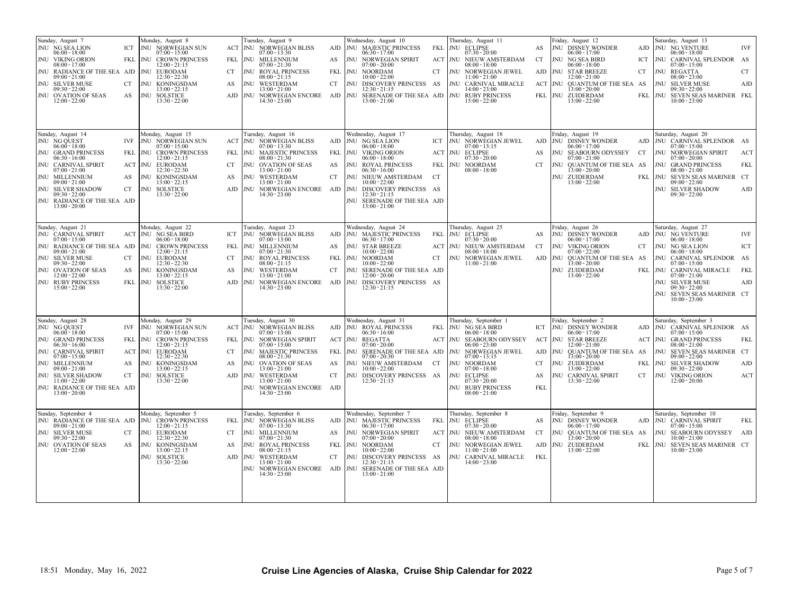| Sunday, August 7<br>Monday, August 8<br>JNU NG SEA LION<br>JNU NORWEGIAN SUN<br>ICT<br>$06:00 - 18:00$<br>$07:00 - 15:00$<br>JNU VIKING ORION<br><b>JNU CROWN PRINCESS</b><br>FKL<br>$08:00 - 17:00$<br>12:00 - 21:15<br>JNU RADIANCE OF THE SEA AJD JNU EURODAM<br>$09:00 - 21:00$<br>$12:30 - 22:30$<br>JNU SILVER MUSE<br>JNU KONINGSDAM<br>CT<br>$09:30 - 22:00$<br>$13:00 - 22:15$<br>JNU OVATION OF SEAS<br>AS<br><b>JNU SOLSTICE</b><br>$12:00 - 22:00$<br>$13:30 - 22:00$                                                           | Tuesday, August 9<br>Wednesday, August 10<br>Thursday, August 11<br>ACT NU NORWEGIAN BLISS<br>AJD JNU MAJESTIC PRINCESS<br>JNU ECLIPSE<br>FKL<br>$07:30 - 20:00$<br>$07:00 - 13:30$<br>$06:30 - 17:00$<br>FKL JNU MILLENNIUM<br>AS<br><b>JNU NORWEGIAN SPIRIT</b><br>ACT JNU NIEUW AMSTERDAM<br>$07:00 - 21:30$<br>$07:00 - 20:00$<br>$08:00 - 18:00$<br><b>JNU ROYAL PRINCESS</b><br>FKL<br><b>JNU NOORDAM</b><br><b>JNU NORWEGIAN JEWEL</b><br>CT.<br>CT<br>$08:00 - 21:15$<br>10:00 - 22:00<br>$11:00 - 21:00$<br>JNU WESTERDAM<br>INU DISCOVERY PRINCESS AS<br>JNU CARNIVAL MIRACLE<br>AS<br>CT<br>$13:00 - 21:00$<br>12:30 - 21:15<br>$14:00 - 23:00$<br>AJD JNU NORWEGIAN ENCORE AJD JNU SERENADE OF THE SEA AJD JNU RUBY PRINCESS<br>$14:30 - 23:00$<br>$13:00 - 21:00$<br>$15:00 - 22:00$                                                                      | Friday, August 12<br>Saturday, August 13<br>JNU DISNEY WONDER<br>AJD JNU NG VENTURE<br><b>IVF</b><br>AS<br>$06:00 - 17:00$<br>$06:00 - 18:00$<br>JNU NG SEA BIRD<br>JNU CARNIVAL SPLENDOR AS<br>CT<br>ICT<br>$06:00 - 18:00$<br>$07:00 - 15:00$<br>AJD<br><b>JNU STAR BREEZE</b><br><b>JNU REGATTA</b><br><b>CT</b><br>CT<br>12:00 - 21:00<br>$08:00 - 23:00$<br>ACT<br>JNU QUANTUM OF THE SEA AS<br><b>JNU SILVER MUSE</b><br>AJD<br>13:00 - 20:00<br>$09:30 - 22:00$<br>FKL JNU ZUIDERDAM<br>FKL JNU SEVEN SEAS MARINER FKL<br>$13:00 - 22:00$<br>$10:00 - 23:00$               |
|---------------------------------------------------------------------------------------------------------------------------------------------------------------------------------------------------------------------------------------------------------------------------------------------------------------------------------------------------------------------------------------------------------------------------------------------------------------------------------------------------------------------------------------------|------------------------------------------------------------------------------------------------------------------------------------------------------------------------------------------------------------------------------------------------------------------------------------------------------------------------------------------------------------------------------------------------------------------------------------------------------------------------------------------------------------------------------------------------------------------------------------------------------------------------------------------------------------------------------------------------------------------------------------------------------------------------------------------------------------------------------------------------------------------------|-----------------------------------------------------------------------------------------------------------------------------------------------------------------------------------------------------------------------------------------------------------------------------------------------------------------------------------------------------------------------------------------------------------------------------------------------------------------------------------------------------------------------------------------------------------------------------------|
| Sunday, August 14<br>Monday, August 15<br>JNU NG QUEST<br>IVF<br><b>JNU NORWEGIAN SUN</b><br>$06:00 - 18:00$<br>$07:00 - 15:00$<br>JNU GRAND PRINCESS<br>FKL NU CROWN PRINCESS<br>$06:30 - 16:00$<br>12:00 - 21:15<br>JNU CARNIVAL SPIRIT<br>ACT JNU EURODAM<br>$07:00 - 21:00$<br>$12:30 - 22:30$<br>JNU MILLENNIUM<br>AS<br><b>JNU KONINGSDAM</b><br>$09:00 - 21:00$<br>$13:00 - 22:15$<br>JNU SILVER SHADOW<br><b>CT</b><br><b>JNU SOLSTICE</b><br>$09:30 - 22:00$<br>$13:30 - 22:00$<br>JNU RADIANCE OF THE SEA AJD<br>$13:00 - 20:00$  | Wednesday, August 17<br>Tuesday, August 16<br>Thursday, August 18<br>ACT NU NORWEGIAN BLISS<br>AJD JNU NG SEA LION<br>ICT<br>JNU NORWEGIAN JEWEL<br>$07:00 - 13:30$<br>$06:00 - 18:00$<br>$07:00 - 13:15$<br>FKL JNU MAJESTIC PRINCESS<br>FKL JNU VIKING ORION<br><b>JNU ECLIPSE</b><br>ACT<br>$08:00 - 21:30$<br>$06:00 - 18:00$<br>$07:30 - 20:00$<br><b>JNU OVATION OF SEAS</b><br>AS<br>JNU ROYAL PRINCESS<br>FKL<br><b>JNU NOORDAM</b><br>CT.<br>$13:00 - 21:00$<br>$06:30 - 16:00$<br>$08:00 - 18:00$<br>AS<br>JNU WESTERDAM<br>JNU NIEUW AMSTERDAM CT<br>CT<br>$13:00 - 21:00$<br>$10:00 - 22:00$<br>AJD NU NORWEGIAN ENCORE AJD NU DISCOVERY PRINCESS AS<br>$14:30 - 23:00$<br>12:30 - 21:15<br>JNU SERENADE OF THE SEA AJD<br>$13:00 - 21:00$                                                                                                                 | Friday, August 19<br>Saturday, August 20<br>AJD JNU DISNEY WONDER<br>AJD   JNU CARNIVAL SPLENDOR AS<br>$06:00 - 17:00$<br>$07:00 - 15:00$<br>JNU SEABOURN ODYSSEY<br><b>JNU NORWEGIAN SPIRIT</b><br>AS<br>CT<br>ACT<br>$07:00 - 21:00$<br>$07:00 - 20:00$<br>JNU OUANTUM OF THE SEA AS<br>FKL<br>CT<br><b>JNU GRAND PRINCESS</b><br>$3:00 - 20:00$<br>$08:00 - 21:00$<br><b>INU ZUIDERDAM</b><br>FKL JNU SEVEN SEAS MARINER CT<br>$13:00 - 22:00$<br>$09:00 - 22:00$<br>JNU SILVER SHADOW<br>AJD<br>$09:30 - 22:00$                                                               |
| Sunday, August 21<br>Monday, August 22<br><b>JNU CARNIVAL SPIRIT</b><br>ACT JNU NG SEA BIRD<br>$07:00 - 15:00$<br>$06:00 - 18:00$<br>JNU RADIANCE OF THE SEA AJD JNU CROWN PRINCESS<br>$09:00 - 21:00$<br>$12:00 - 21:15$<br><b>JNU SILVER MUSE</b><br>CT<br><b>JNU EURODAM</b><br>$09:30 - 22:00$<br>$12:30 - 22:30$<br>AS<br>JNU KONINGSDAM<br><b>JNU OVATION OF SEAS</b><br>$12:00 - 22:00$<br>$13:00 - 22:15$<br><b>JNU RUBY PRINCESS</b><br>FKL JNU SOLSTICE<br>$15:00 - 22:00$<br>$13:30 - 22:00$                                     | Tuesday, August 23<br>Wednesday, August 24<br>Thursday, August 25<br>JNU NORWEGIAN BLISS<br>AJD JNU MAJESTIC PRINCESS<br>FKL NU ECLIPSE<br>ICT<br>$07:00 - 13:00$<br>$06:30 - 17:00$<br>$07:30 - 20:00$<br>FKL JNU MILLENNIUM<br>AS<br><b>JNU STAR BREEZE</b><br>ACT JNU NIEUW AMSTERDAM<br>$07:00 - 21:30$<br>$10:00 - 22:00$<br>$08:00 - 18:00$<br>CT.<br><b>JNU ROYAL PRINCESS</b><br>FKL<br>JNU NOORDAM<br>CT<br>JNU NORWEGIAN JEWEL<br>$08:00 - 21:15$<br>$10:00 - 22:00$<br>$11:00 - 21:00$<br>JNU WESTERDAM<br><b>CT</b><br>JNU SERENADE OF THE SEA AJD<br>AS<br>$13:00 - 21:00$<br>$12:00 - 20:00$<br>AJD NU NORWEGIAN ENCORE AJD NU DISCOVERY PRINCESS AS<br>$14:30 - 23:00$<br>$12:30 - 21:15$                                                                                                                                                               | Friday, August 26<br>Saturday, August 27<br>JNU DISNEY WONDER<br>AJD JNU NG VENTURE<br><b>IVF</b><br>AS<br>$06:00 - 17:00$<br>$06:00 - 18:00$<br>CT<br>JNU VIKING ORION<br>CT.<br><b>JNU NG SEA LION</b><br>ICT<br>$07:00 - 22:00$<br>$06:00 - 18:00$<br>AJD<br>JNU QUANTUM OF THE SEA AS<br>JNU CARNIVAL SPLENDOR AS<br>13:00 - 20:00<br>$07:00 - 15:00$<br><b>JNU ZUIDERDAM</b><br>FKL NU CARNIVAL MIRACLE<br>FKL<br>$13:00 - 22:00$<br>$07:00 - 21:00$<br><b>JNU SILVER MUSE</b><br>AJD<br>$09:30 - 22:00$<br>JNU SEVEN SEAS MARINER CT<br>$10:00 - 23:00$                     |
| Sunday, August 28<br>Monday, August 29<br>IVF JNU NORWEGIAN SUN<br>JNU NG QUEST<br>$06:00 - 18:00$<br>$07:00 - 15:00$<br>JNU GRAND PRINCESS<br>FKL<br><b>JNU CROWN PRINCESS</b><br>$06:30 - 16:00$<br>12:00 - 21:15<br>JNU CARNIVAL SPIRIT<br><b>ACT JNU EURODAM</b><br>$07:00 - 15:00$<br>$12:30 - 22:30$<br>JNU MILLENNIUM<br>AS<br>JNU KONINGSDAM<br>$13:00 - 22:15$<br>$09:00 - 21:00$<br>JNU SILVER SHADOW<br><b>CT</b><br><b>JNU SOLSTICE</b><br>$11:00 - 22:00$<br>$13:30 - 22:00$<br>JNU RADIANCE OF THE SEA AJD<br>$13:00 - 20:00$ | Tuesday, August 30<br>Wednesday, August 31<br>Thursday, September 1<br><b>ACT JNU NORWEGIAN BLISS</b><br>FKL JNU NG SEA BIRD<br>AJD   JNU ROYAL PRINCESS<br>$07:00 - 13:00$<br>$06:30 - 16:00$<br>$06:00 - 18:00$<br>FKL JNU NORWEGIAN SPIRIT<br>ACT JNU REGATTA<br>ACT JNU SEABOURN ODYSSEY<br>$07:00 - 15:00$<br>$07:00 - 20:00$<br>$06:00 - 23:00$<br>JNU MAJESTIC PRINCESS<br>FKL<br>JNU SERENADE OF THE SEA AJD<br>JNU NORWEGIAN JEWEL<br>CT.<br>$08:00 - 21:30$<br>$07:00 - 20:30$<br>$07:00 - 13:15$<br>JNU OVATION OF SEAS<br>AS<br>INU NIEUW AMSTERDAM CT<br>JNU NOORDAM<br>AS<br>10:00 - 22:00<br>$07:00 - 18:00$<br>13:00 - 21:00<br>AJD JNU WESTERDAM<br><b>CT</b><br>INU DISCOVERY PRINCESS AS<br>JNU ECLIPSE<br>13:00 - 21:00<br>12:30 - 21:15<br>$07:30 - 20:00$<br>JNU NORWEGIAN ENCORE AJD<br>JNU RUBY PRINCESS<br>$14:30 - 23:00$<br>$08:00 - 21:00$ | Friday, September 2<br>Saturday, September 3<br>JNU DISNEY WONDER<br>AJD JNU CARNIVAL SPLENDOR AS<br>ICT<br>$06:00 - 17:00$<br>$07:00 - 15:00$<br>ACT JNU STAR BREEZE<br><b>ACT JNU GRAND PRINCESS</b><br>FKL<br>12:00 - 21:00<br>$08:00 - 21:00$<br>AJD<br>JNU OUANTUM OF THE SEA AS<br>JNU SEVEN SEAS MARINER CT<br>13:00 - 20:00<br>$09:00 - 22:00$<br><b>CT</b><br><b>JNU ZUIDERDAM</b><br>FKL JNU SILVER SHADOW<br>AJD<br>13:00 - 22:00<br>$09:30 - 22:00$<br>AS<br>JNU CARNIVAL SPIRIT<br>CT<br>JNU VIKING ORION<br>ACT<br>$13:30 - 22:00$<br>$12:00 - 20:00$<br><b>FKL</b> |
| Monday, September 5<br>Sunday, September 4<br>JNU RADIANCE OF THE SEA AJD JNU CROWN PRINCESS<br>$09:00 - 21:00$<br>$12:00 - 21:15$<br>JNU SILVER MUSE<br>JNU EURODAM<br>CT<br>$09:30 - 22:00$<br>$12:30 - 22:30$<br>JNU OVATION OF SEAS<br>AS<br>JNU KONINGSDAM<br>$12:00 - 22:00$<br>$13:00 - 22:15$<br>JNU SOLSTICE<br>$13:30 - 22:00$                                                                                                                                                                                                    | Tuesday, September 6<br>Wednesday, September 7<br>Thursday, September 8<br>FKL JNU NORWEGIAN BLISS<br>AJD JNU MAJESTIC PRINCESS<br>FKL<br>JNU ECLIPSE<br>$07:00 - 13:30$<br>$06:30 - 17:00$<br>$07:30 - 20:00$<br>JNU MILLENNIUM<br>AS<br>JNU NORWEGIAN SPIRIT<br>ACT JNU NIEUW AMSTERDAM<br>CT.<br>$07:00 - 21:30$<br>$07:00 - 20:00$<br>$08:00 - 18:00$<br>AS<br><b>JNU ROYAL PRINCESS</b><br>FKL<br>JNU NOORDAM<br>JNU NORWEGIAN JEWEL<br>CT<br>$08:00 - 21:15$<br>$10:00 - 22:00$<br>$11:00 - 21:00$<br>AJD JNU WESTERDAM<br>JNU DISCOVERY PRINCESS AS<br>JNU CARNIVAL MIRACLE<br>CT<br>$13:00 - 21:00$<br>12:30 - 21:15<br>$14:00 - 23:00$<br>JNU NORWEGIAN ENCORE AJD JNU SERENADE OF THE SEA AJD<br>$14:30 - 23:00$<br>$13:00 - 21:00$                                                                                                                          | Saturday, September 10<br>Friday, September 9<br>JNU DISNEY WONDER<br>AJD   JNU CARNIVAL SPIRIT<br><b>FKL</b><br>AS<br>$06:00 - 17:00$<br>$07:00 - 15:00$<br>INU QUANTUM OF THE SEA AS<br>JNU SEABOURN ODYSSEY AJD<br>CT<br>13:00 - 20:00<br>$10:00 - 21:00$<br>AJD<br><b>JNU ZUIDERDAM</b><br>FKL JNU SEVEN SEAS MARINER CT<br>$13:00 - 22:00$<br>$10:00 - 23:00$<br>FKL                                                                                                                                                                                                         |
| 18:51 Monday, May 16, 2022                                                                                                                                                                                                                                                                                                                                                                                                                                                                                                                  | Cruise Line Agencies of Alaska, Cruise Ship Calendar for 2022                                                                                                                                                                                                                                                                                                                                                                                                                                                                                                                                                                                                                                                                                                                                                                                                          | Page 5 of 7                                                                                                                                                                                                                                                                                                                                                                                                                                                                                                                                                                       |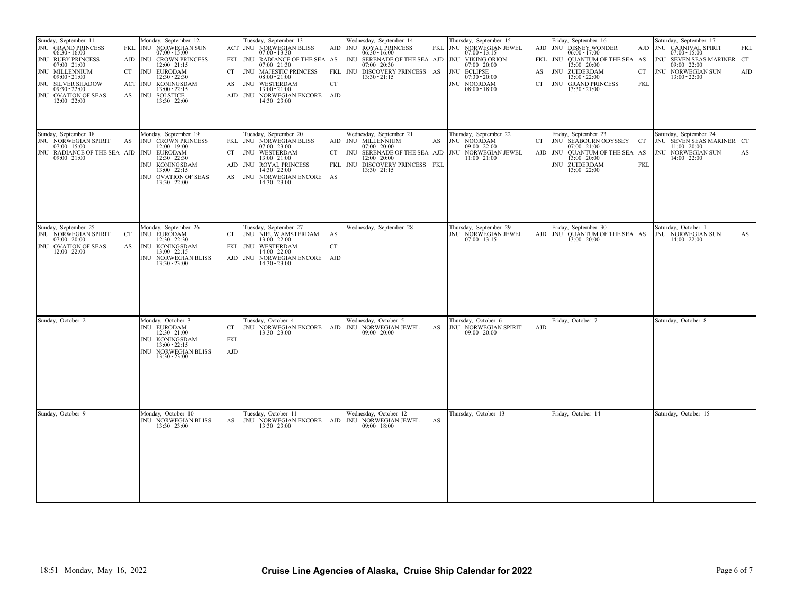| Sunday, September 11<br>JNU GRAND PRINCESS<br>$06:30 - 16:00$<br>JNU RUBY PRINCESS<br>$07:00 - 21:00$<br>JNU MILLENNIUM<br>$09:00 - 21:00$<br>JNU SILVER SHADOW<br>$09:30 - 22:00$<br>JNU OVATION OF SEAS<br>$12:00 - 22:00$ | Monday, September 12<br>FKL JNU NORWEGIAN SUN<br>$07:00 - 15:00$<br>AJD   JNU CROWN PRINCESS<br>$12:00 - 21:15$<br>CT<br>JNU EURODAM<br>$12:30 - 22:30$<br>ACT JNU KONINGSDAM<br>$13:00 - 22:15$<br>AS<br>JNU SOLSTICE<br>$13:30 - 22:00$ | Tuesday, September 13<br>ACT NU NORWEGIAN BLISS<br>$07:00 - 13:30$<br>FKL NU RADIANCE OF THE SEA AS<br>$07:00 - 21:30$<br>JNU MAJESTIC PRINCESS<br>CT<br>$08:00 - 21:00$<br>JNU WESTERDAM<br>AS<br>$13:00 - 21:00$<br>AJD JNU NORWEGIAN ENCORE AJD<br>$14:30 - 23:00$ | Wednesday, September 14<br>AJD JNU ROYAL PRINCESS<br>FKL<br>$06:30 - 16:00$<br>JNU SERENADE OF THE SEA AJD<br>$07:00 - 20:30$<br>FKL JNU DISCOVERY PRINCESS AS<br>$13:30 - 21:15$<br>${\cal C}{\cal T}$ | Thursday, September 15<br>JNU NORWEGIAN JEWEL<br>AJD<br>$07:00 - 13:15$<br>JNU VIKING ORION<br><b>FKL</b><br>$07:00 - 20:00$<br>JNU ECLIPSE<br>AS<br>$07:30 - 20:00$<br>JNU NOORDAM<br>CT<br>$08:00 - 18:00$ | Friday, September 16<br>JNU DISNEY WONDER<br>$06:00 - 17:00$<br>JNU QUANTUM OF THE SEA AS<br>$13:00 - 20:00$<br>JNU ZUIDERDAM<br>CT<br>$13:00 - 22:00$<br>JNU GRAND PRINCESS<br><b>FKL</b><br>$13:30 - 21:00$ | Saturday, September 17<br>AJD JNU CARNIVAL SPIRIT<br><b>FKL</b><br>$07:00 - 15:00$<br>JNU SEVEN SEAS MARINER CT<br>$09:00 - 22:00$<br>JNU NORWEGIAN SUN<br>AJD<br>$13:00 - 22:00$ |
|------------------------------------------------------------------------------------------------------------------------------------------------------------------------------------------------------------------------------|-------------------------------------------------------------------------------------------------------------------------------------------------------------------------------------------------------------------------------------------|-----------------------------------------------------------------------------------------------------------------------------------------------------------------------------------------------------------------------------------------------------------------------|---------------------------------------------------------------------------------------------------------------------------------------------------------------------------------------------------------|--------------------------------------------------------------------------------------------------------------------------------------------------------------------------------------------------------------|---------------------------------------------------------------------------------------------------------------------------------------------------------------------------------------------------------------|-----------------------------------------------------------------------------------------------------------------------------------------------------------------------------------|
| Sunday, September 18<br>JNU NORWEGIAN SPIRIT<br>$07:00 - 15:00$<br>JNU RADIANCE OF THE SEA AJD JNU EURODAM<br>$09:00 - 21:00$                                                                                                | Monday, September 19<br>JNU CROWN PRINCESS<br>AS<br>$12:00 - 19:00$<br>$12:30 - 22:30$<br>JNU KONINGSDAM<br>$13:00 - 22:15$<br>JNU OVATION OF SEAS<br>$13:30 - 22:00$                                                                     | Tuesday, September 20<br>FKL JNU NORWEGIAN BLISS<br>$07:00 - 23:00$<br>JNU WESTERDAM<br><b>CT</b><br>$13:00 - 21:00$<br>JNU ROYAL PRINCESS<br>AJD<br>$14:30 - 22:00$<br>AS<br>JNU NORWEGIAN ENCORE AS<br>$14:30 - 23:00$                                              | Wednesday, September 21<br>AJD JNU MILLENNIUM<br>AS<br>$07:00 - 20:00$<br>JNU SERENADE OF THE SEA AJD<br>CT<br>$12:00 - 20:00$<br>JNU DISCOVERY PRINCESS FKL<br>FKL<br>$13:30 - 21:15$                  | Thursday, September 22<br>JNU NOORDAM<br>CT<br>$09:00 - 22:00$<br>NORWEGIAN JEWEL<br>AJD<br>JNU<br>$11:00 - 21:00$                                                                                           | Friday, September 23<br>JNU SEABOURN ODYSSEY CT<br>$07:00 - 21:00$<br>JNU<br>QUANTUM OF THE SEA AS<br>$13:00 - 20:00$<br>JNU ZUIDERDAM<br><b>FKL</b><br>$13:00 - 22:00$                                       | Saturday, September 24<br>JNU SEVEN SEAS MARINER CT<br>$11:00 - 20:00$<br>JNU NORWEGIAN SUN<br>AS<br>$14:00 - 22:00$                                                              |
| Sunday, September 25<br>JNU NORWEGIAN SPIRIT<br>$07:00 - 20:00$<br>JNU OVATION OF SEAS<br>$12:00 - 22:00$                                                                                                                    | Monday, September 26<br>JNU EURODAM<br>CT<br>$12:30 - 22:30$<br>JNU KONINGSDAM<br>AS<br>$13:00 - 22:15$<br>JNU NORWEGIAN BLISS<br>$13:30 - 23:00$                                                                                         | Tuesday, September 27<br>JNU NIEUW AMSTERDAM AS<br><b>CT</b><br>$13:00 - 22:00$<br>FKL<br>JNU WESTERDAM<br>$14:00 - 22:00$<br>AJD NU NORWEGIAN ENCORE AJD<br>$14:30 - 23:00$                                                                                          | Wednesday, September 28<br>${\cal C}{\cal T}$                                                                                                                                                           | Thursday, September 29<br>JNU NORWEGIAN JEWEL<br>$07:00 - 13:15$                                                                                                                                             | Friday, September 30<br>AJD JNU QUANTUM OF THE SEA AS<br>$13:00 - 20:00$                                                                                                                                      | Saturday, October 1<br>JNU NORWEGIAN SUN<br>AS<br>$14:00 - 22:00$                                                                                                                 |
| Sunday, October 2                                                                                                                                                                                                            | Monday, October 3<br>JNU EURODAM<br>$12:30 - 21:00$<br>JNU KONINGSDAM<br>$13:00 - 22:15$<br>JNU NORWEGIAN BLISS<br>$13:30 - 23:00$                                                                                                        | Tuesday, October 4<br>CT<br>$13:30 - 23:00$<br><b>FKL</b><br>${\rm AJD}$                                                                                                                                                                                              | Wednesday, October 5<br>JNU NORWEGIAN ENCORE AJD JNU NORWEGIAN JEWEL<br>AS<br>$09:00 - 20:00$                                                                                                           | Thursday, October 6<br>JNU NORWEGIAN SPIRIT<br>AJD<br>$09:00 - 20:00$                                                                                                                                        | Friday, October 7                                                                                                                                                                                             | Saturday, October 8                                                                                                                                                               |
| Sunday, October 9                                                                                                                                                                                                            | Monday, October 10<br>JNU NORWEGIAN BLISS<br>$13:30 - 23:00$                                                                                                                                                                              | Tuesday, October 11<br>AS<br>$13:30 - 23:00$                                                                                                                                                                                                                          | Wednesday, October 12<br>JNU NORWEGIAN ENCORE AJD JNU NORWEGIAN JEWEL<br>AS<br>$09:00 - 18:00$                                                                                                          | Thursday, October 13                                                                                                                                                                                         | Friday, October 14                                                                                                                                                                                            | Saturday, October 15                                                                                                                                                              |
| 18:51 Monday, May 16, 2022                                                                                                                                                                                                   |                                                                                                                                                                                                                                           |                                                                                                                                                                                                                                                                       | Cruise Line Agencies of Alaska, Cruise Ship Calendar for 2022                                                                                                                                           |                                                                                                                                                                                                              |                                                                                                                                                                                                               | Page 6 of 7                                                                                                                                                                       |